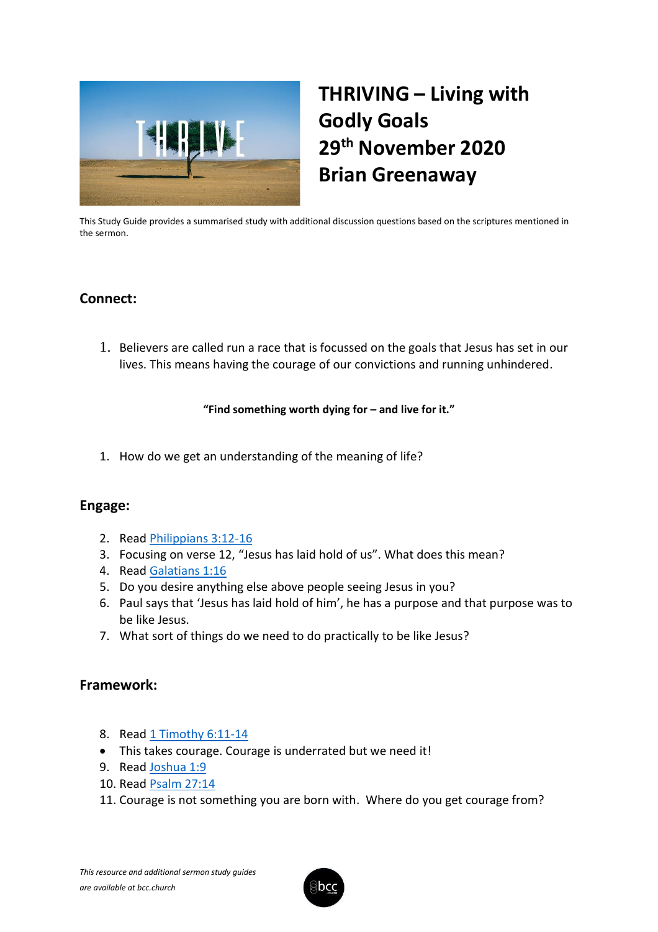

# **THRIVING – Living with Godly Goals 29th November 2020 Brian Greenaway**

This Study Guide provides a summarised study with additional discussion questions based on the scriptures mentioned in the sermon.

## **Connect:**

1. Believers are called run a race that is focussed on the goals that Jesus has set in our lives. This means having the courage of our convictions and running unhindered.

**"Find something worth dying for – and live for it."**

1. How do we get an understanding of the meaning of life?

### **Engage:**

- 2. Read [Philippians 3:12-16](https://www.biblegateway.com/passage/?search=Philippians+3%3A12-16&version=KJV)
- 3. Focusing on verse 12, "Jesus has laid hold of us". What does this mean?
- 4. Read [Galatians 1:16](https://www.biblegateway.com/passage/?search=Galatians+1%3A16&version=KJV)
- 5. Do you desire anything else above people seeing Jesus in you?
- 6. Paul says that 'Jesus has laid hold of him', he has a purpose and that purpose was to be like Jesus.
- 7. What sort of things do we need to do practically to be like Jesus?

#### **Framework:**

- 8. Read [1 Timothy 6:11-14](https://www.biblegateway.com/passage/?search=1+Timothy+6%3A11-14&version=KJV)
- This takes courage. Courage is underrated but we need it!
- 9. Read [Joshua 1:9](https://www.biblegateway.com/passage/?search=Joshua+1%3A9&version=KJV)
- 10. Read [Psalm 27:14](https://www.biblegateway.com/passage/?search=Psalm+27%3A14&version=KJV)
- 11. Courage is not something you are born with. Where do you get courage from?